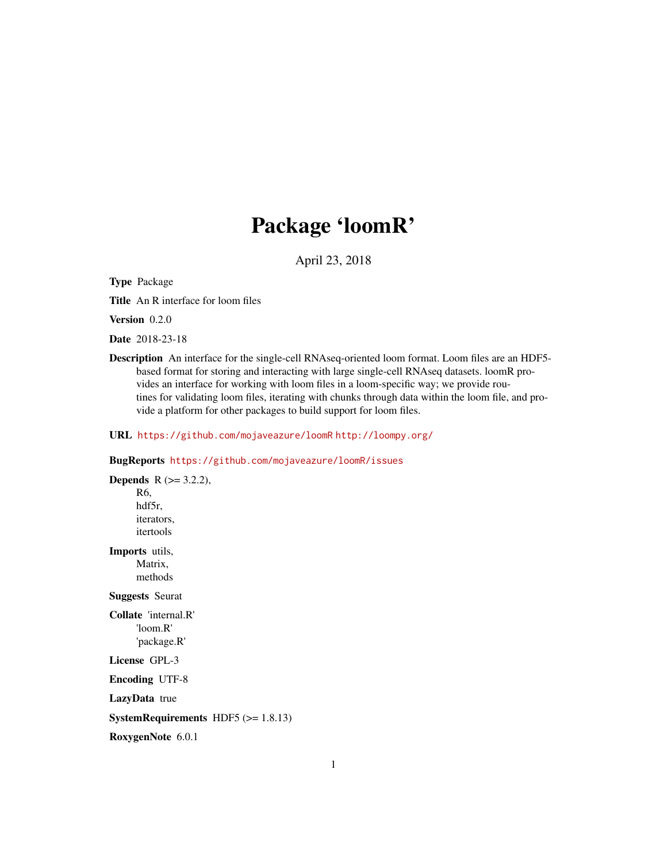# Package 'loomR'

April 23, 2018

<span id="page-0-0"></span>Type Package

Title An R interface for loom files

Version 0.2.0

Date 2018-23-18

Description An interface for the single-cell RNAseq-oriented loom format. Loom files are an HDF5 based format for storing and interacting with large single-cell RNAseq datasets. loomR provides an interface for working with loom files in a loom-specific way; we provide routines for validating loom files, iterating with chunks through data within the loom file, and provide a platform for other packages to build support for loom files.

URL <https://github.com/mojaveazure/loomR> <http://loompy.org/>

# BugReports <https://github.com/mojaveazure/loomR/issues>

**Depends**  $R (= 3.2.2)$ , R6, hdf5r, iterators, itertools Imports utils, Matrix, methods Suggests Seurat Collate 'internal.R' 'loom.R' 'package.R' License GPL-3 Encoding UTF-8 LazyData true SystemRequirements HDF5 (>= 1.8.13) RoxygenNote 6.0.1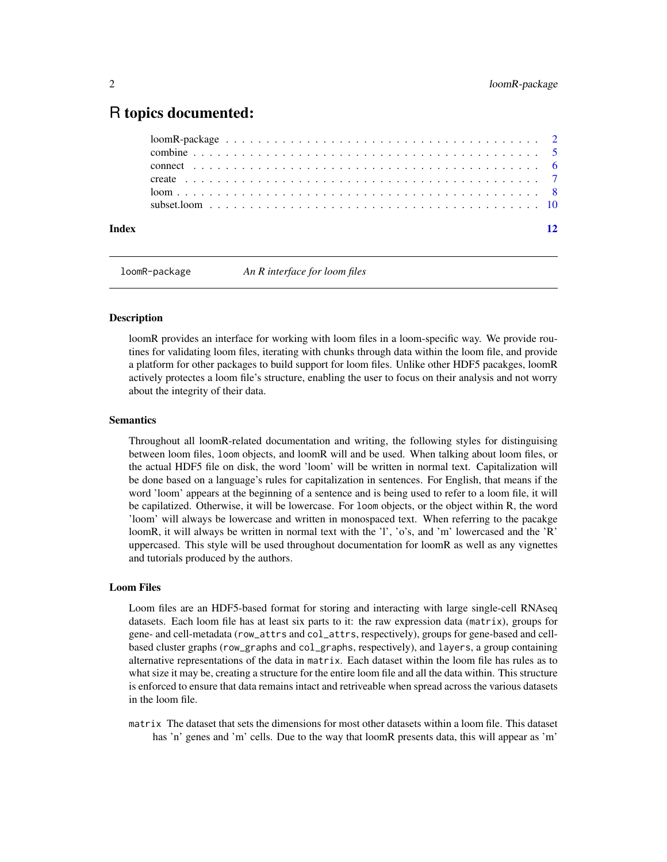# <span id="page-1-0"></span>R topics documented:

| Index |  |
|-------|--|

loomR-package *An R interface for loom files*

# Description

loomR provides an interface for working with loom files in a loom-specific way. We provide routines for validating loom files, iterating with chunks through data within the loom file, and provide a platform for other packages to build support for loom files. Unlike other HDF5 pacakges, loomR actively protectes a loom file's structure, enabling the user to focus on their analysis and not worry about the integrity of their data.

# **Semantics**

Throughout all loomR-related documentation and writing, the following styles for distinguising between loom files, loom objects, and loomR will and be used. When talking about loom files, or the actual HDF5 file on disk, the word 'loom' will be written in normal text. Capitalization will be done based on a language's rules for capitalization in sentences. For English, that means if the word 'loom' appears at the beginning of a sentence and is being used to refer to a loom file, it will be capilatized. Otherwise, it will be lowercase. For loom objects, or the object within R, the word 'loom' will always be lowercase and written in monospaced text. When referring to the pacakge loomR, it will always be written in normal text with the 'l', 'o's, and 'm' lowercased and the 'R' uppercased. This style will be used throughout documentation for loomR as well as any vignettes and tutorials produced by the authors.

# Loom Files

Loom files are an HDF5-based format for storing and interacting with large single-cell RNAseq datasets. Each loom file has at least six parts to it: the raw expression data (matrix), groups for gene- and cell-metadata (row\_attrs and col\_attrs, respectively), groups for gene-based and cellbased cluster graphs (row\_graphs and col\_graphs, respectively), and layers, a group containing alternative representations of the data in matrix. Each dataset within the loom file has rules as to what size it may be, creating a structure for the entire loom file and all the data within. This structure is enforced to ensure that data remains intact and retriveable when spread across the various datasets in the loom file.

matrix The dataset that sets the dimensions for most other datasets within a loom file. This dataset has 'n' genes and 'm' cells. Due to the way that loomR presents data, this will appear as 'm'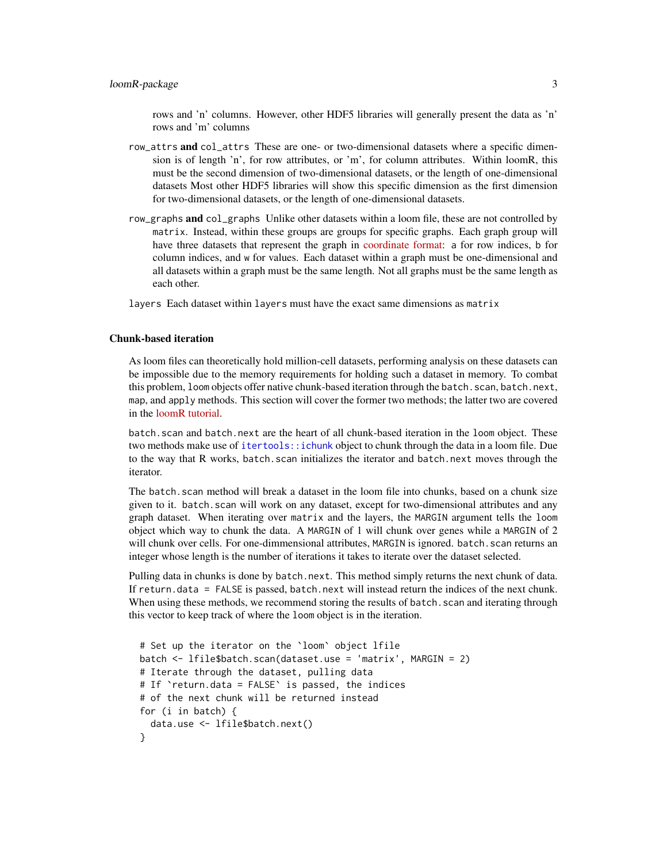<span id="page-2-0"></span>rows and 'n' columns. However, other HDF5 libraries will generally present the data as 'n' rows and 'm' columns

- row\_attrs and col\_attrs These are one- or two-dimensional datasets where a specific dimension is of length 'n', for row attributes, or 'm', for column attributes. Within loomR, this must be the second dimension of two-dimensional datasets, or the length of one-dimensional datasets Most other HDF5 libraries will show this specific dimension as the first dimension for two-dimensional datasets, or the length of one-dimensional datasets.
- row\_graphs **and** col\_graphs Unlike other datasets within a loom file, these are not controlled by matrix. Instead, within these groups are groups for specific graphs. Each graph group will have three datasets that represent the graph in [coordinate format:](https://en.wikipedia.org/wiki/Sparse_matrix#Coordinate_list_(COO)) a for row indices, b for column indices, and w for values. Each dataset within a graph must be one-dimensional and all datasets within a graph must be the same length. Not all graphs must be the same length as each other.

layers Each dataset within layers must have the exact same dimensions as matrix

## Chunk-based iteration

As loom files can theoretically hold million-cell datasets, performing analysis on these datasets can be impossible due to the memory requirements for holding such a dataset in memory. To combat this problem, loom objects offer native chunk-based iteration through the batch.scan, batch.next, map, and apply methods. This section will cover the former two methods; the latter two are covered in the [loomR tutorial.](http://satijalab.org/loomR/loomR_tutorial.html)

batch.scan and batch.next are the heart of all chunk-based iteration in the loom object. These two methods make use of [itertools::ichunk](#page-0-0) object to chunk through the data in a loom file. Due to the way that R works, batch.scan initializes the iterator and batch.next moves through the iterator.

The batch.scan method will break a dataset in the loom file into chunks, based on a chunk size given to it. batch.scan will work on any dataset, except for two-dimensional attributes and any graph dataset. When iterating over matrix and the layers, the MARGIN argument tells the loom object which way to chunk the data. A MARGIN of 1 will chunk over genes while a MARGIN of 2 will chunk over cells. For one-dimmensional attributes, MARGIN is ignored. batch. scan returns an integer whose length is the number of iterations it takes to iterate over the dataset selected.

Pulling data in chunks is done by batch.next. This method simply returns the next chunk of data. If return.data = FALSE is passed, batch.next will instead return the indices of the next chunk. When using these methods, we recommend storing the results of batch. scan and iterating through this vector to keep track of where the loom object is in the iteration.

```
# Set up the iterator on the `loom` object lfile
batch <- lfile$batch.scan(dataset.use = 'matrix', MARGIN = 2)
# Iterate through the dataset, pulling data
# If `return.data = FALSE` is passed, the indices
# of the next chunk will be returned instead
for (i in batch) {
 data.use <- lfile$batch.next()
}
```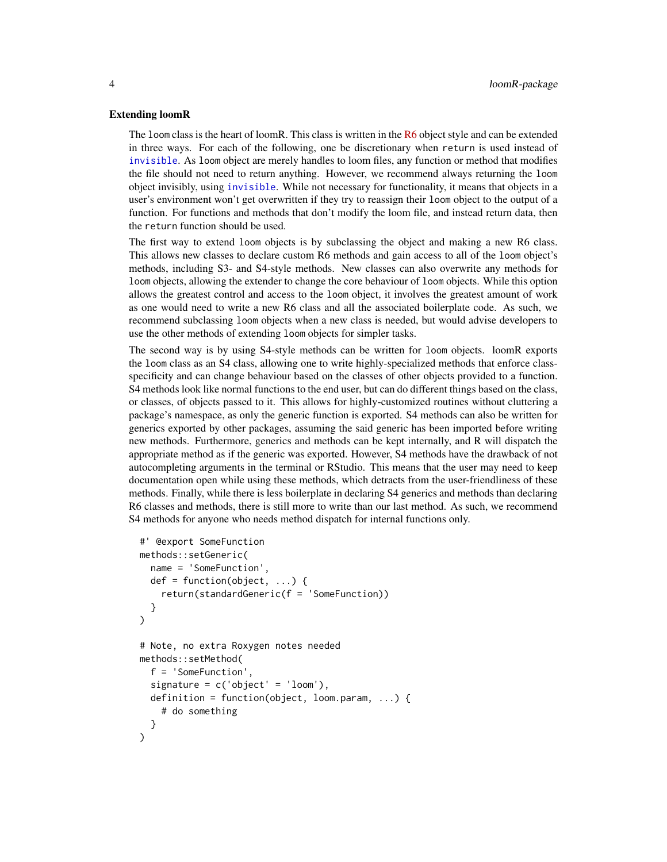#### <span id="page-3-0"></span>Extending loomR

The loom class is the heart of loomR. This class is written in the  $R6$  object style and can be extended in three ways. For each of the following, one be discretionary when return is used instead of [invisible](#page-0-0). As loom object are merely handles to loom files, any function or method that modifies the file should not need to return anything. However, we recommend always returning the loom object invisibly, using [invisible](#page-0-0). While not necessary for functionality, it means that objects in a user's environment won't get overwritten if they try to reassign their loom object to the output of a function. For functions and methods that don't modify the loom file, and instead return data, then the return function should be used.

The first way to extend loom objects is by subclassing the object and making a new R6 class. This allows new classes to declare custom R6 methods and gain access to all of the loom object's methods, including S3- and S4-style methods. New classes can also overwrite any methods for loom objects, allowing the extender to change the core behaviour of loom objects. While this option allows the greatest control and access to the loom object, it involves the greatest amount of work as one would need to write a new R6 class and all the associated boilerplate code. As such, we recommend subclassing loom objects when a new class is needed, but would advise developers to use the other methods of extending loom objects for simpler tasks.

The second way is by using S4-style methods can be written for loom objects. loomR exports the loom class as an S4 class, allowing one to write highly-specialized methods that enforce classspecificity and can change behaviour based on the classes of other objects provided to a function. S4 methods look like normal functions to the end user, but can do different things based on the class, or classes, of objects passed to it. This allows for highly-customized routines without cluttering a package's namespace, as only the generic function is exported. S4 methods can also be written for generics exported by other packages, assuming the said generic has been imported before writing new methods. Furthermore, generics and methods can be kept internally, and R will dispatch the appropriate method as if the generic was exported. However, S4 methods have the drawback of not autocompleting arguments in the terminal or RStudio. This means that the user may need to keep documentation open while using these methods, which detracts from the user-friendliness of these methods. Finally, while there is less boilerplate in declaring S4 generics and methods than declaring R6 classes and methods, there is still more to write than our last method. As such, we recommend S4 methods for anyone who needs method dispatch for internal functions only.

```
#' @export SomeFunction
methods::setGeneric(
  name = 'SomeFunction',
  def = function(object, ...) {
    return(standardGeneric(f = 'SomeFunction))
  }
)
# Note, no extra Roxygen notes needed
methods::setMethod(
  f = 'SomeFunction',
  signature = c('object' = 'loom'),definition = function(object, loom.param, ...) {
    # do something
  }
)
```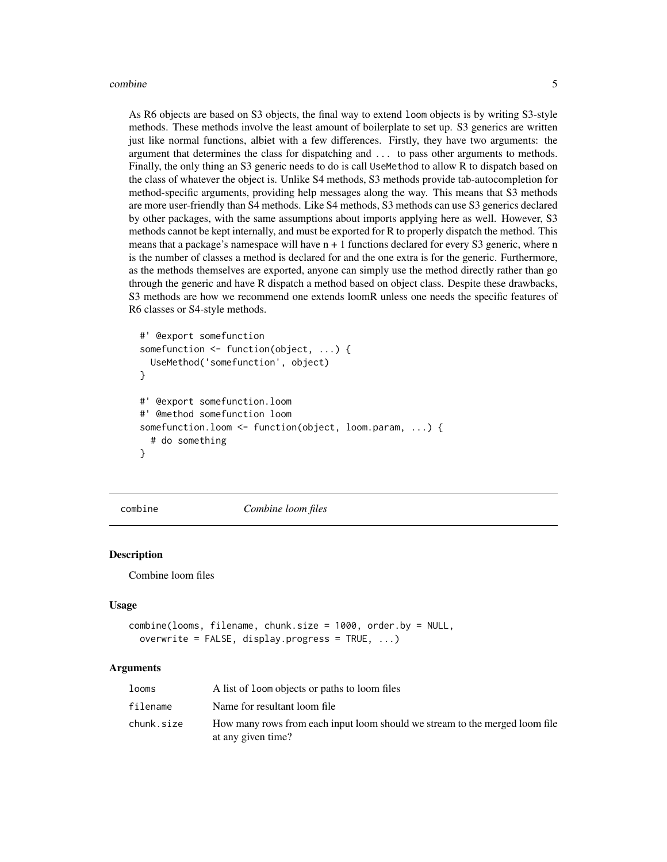<span id="page-4-0"></span>As R6 objects are based on S3 objects, the final way to extend loom objects is by writing S3-style methods. These methods involve the least amount of boilerplate to set up. S3 generics are written just like normal functions, albiet with a few differences. Firstly, they have two arguments: the argument that determines the class for dispatching and ... to pass other arguments to methods. Finally, the only thing an S3 generic needs to do is call UseMethod to allow R to dispatch based on the class of whatever the object is. Unlike S4 methods, S3 methods provide tab-autocompletion for method-specific arguments, providing help messages along the way. This means that S3 methods are more user-friendly than S4 methods. Like S4 methods, S3 methods can use S3 generics declared by other packages, with the same assumptions about imports applying here as well. However, S3 methods cannot be kept internally, and must be exported for R to properly dispatch the method. This means that a package's namespace will have n + 1 functions declared for every S3 generic, where n is the number of classes a method is declared for and the one extra is for the generic. Furthermore, as the methods themselves are exported, anyone can simply use the method directly rather than go through the generic and have R dispatch a method based on object class. Despite these drawbacks, S3 methods are how we recommend one extends loomR unless one needs the specific features of R6 classes or S4-style methods.

```
#' @export somefunction
somefunction <- function(object, ...) {
  UseMethod('somefunction', object)
}
#' @export somefunction.loom
#' @method somefunction loom
somefunction.loom <- function(object, loom.param, ...) {
  # do something
}
```
combine *Combine loom files*

## **Description**

Combine loom files

### Usage

```
combine(looms, filename, chunk.size = 1000, order.by = NULL,
  overwrite = FALSE, display.progress = TRUE, ...)
```
#### Arguments

| looms      | A list of loom objects or paths to loom files                                                     |
|------------|---------------------------------------------------------------------------------------------------|
| filename   | Name for resultant loom file                                                                      |
| chunk.size | How many rows from each input loom should we stream to the merged loom file<br>at any given time? |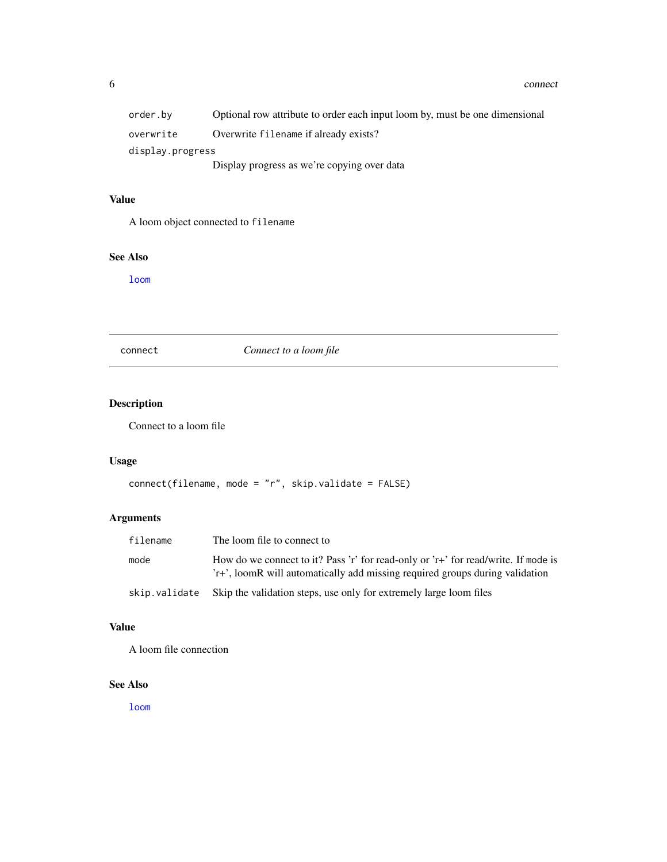<span id="page-5-0"></span>

| order.bv         | Optional row attribute to order each input loom by, must be one dimensional |
|------------------|-----------------------------------------------------------------------------|
| overwrite        | Overwrite filename if already exists?                                       |
| display.progress |                                                                             |
|                  | Display progress as we're copying over data                                 |

# Value

A loom object connected to filename

# See Also

[loom](#page-7-1)

connect *Connect to a loom file*

# Description

Connect to a loom file

# Usage

```
connect(filename, mode = "r", skip.validate = FALSE)
```
# Arguments

| filename      | The loom file to connect to                                                                                                                                        |
|---------------|--------------------------------------------------------------------------------------------------------------------------------------------------------------------|
| mode          | How do we connect to it? Pass 'r' for read-only or 'r+' for read/write. If mode is<br>'r+', loomR will automatically add missing required groups during validation |
| skip.validate | Skip the validation steps, use only for extremely large loom files                                                                                                 |

# Value

A loom file connection

# See Also

[loom](#page-7-1)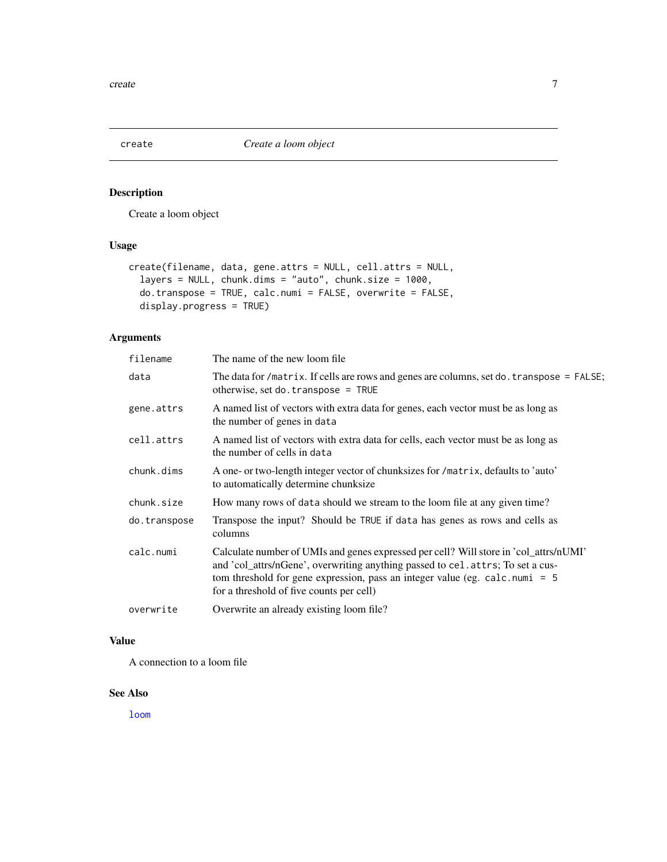<span id="page-6-0"></span>

# Description

Create a loom object

# Usage

```
create(filename, data, gene.attrs = NULL, cell.attrs = NULL,
  layers = NULL, chunk.dims = "auto", chunk.size = 1000,
 do.transpose = TRUE, calc.numi = FALSE, overwrite = FALSE,
  display.progress = TRUE)
```
# Arguments

| filename     | The name of the new loom file.                                                                                                                                                                                                                                                                       |
|--------------|------------------------------------------------------------------------------------------------------------------------------------------------------------------------------------------------------------------------------------------------------------------------------------------------------|
| data         | The data for /matrix. If cells are rows and genes are columns, set do. transpose = $FALSE$ ;<br>otherwise, set do. $transpose = TRUE$                                                                                                                                                                |
| gene.attrs   | A named list of vectors with extra data for genes, each vector must be as long as<br>the number of genes in data                                                                                                                                                                                     |
| cell.attrs   | A named list of vectors with extra data for cells, each vector must be as long as<br>the number of cells in data                                                                                                                                                                                     |
| chunk.dims   | A one- or two-length integer vector of chunksizes for /matrix, defaults to 'auto'<br>to automatically determine chunksize                                                                                                                                                                            |
| chunk.size   | How many rows of data should we stream to the loom file at any given time?                                                                                                                                                                                                                           |
| do.transpose | Transpose the input? Should be TRUE if data has genes as rows and cells as<br>columns                                                                                                                                                                                                                |
| calc.numi    | Calculate number of UMIs and genes expressed per cell? Will store in 'col_attrs/nUMI'<br>and 'col_attrs/nGene', overwriting anything passed to cel.attrs; To set a cus-<br>tom threshold for gene expression, pass an integer value (eg. calc.numi = $5$<br>for a threshold of five counts per cell) |
| overwrite    | Overwrite an already existing loom file?                                                                                                                                                                                                                                                             |

# Value

A connection to a loom file

# See Also

[loom](#page-7-1)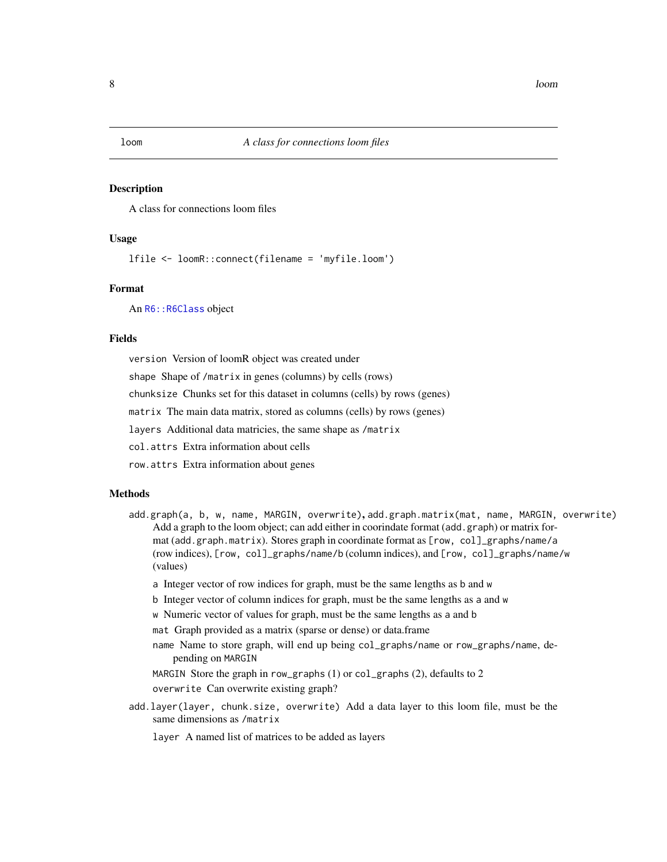#### <span id="page-7-1"></span><span id="page-7-0"></span>Description

A class for connections loom files

# Usage

lfile <- loomR::connect(filename = 'myfile.loom')

# Format

An R6:: R6Class object

#### Fields

version Version of loomR object was created under

shape Shape of /matrix in genes (columns) by cells (rows)

chunksize Chunks set for this dataset in columns (cells) by rows (genes)

matrix The main data matrix, stored as columns (cells) by rows (genes)

layers Additional data matricies, the same shape as /matrix

col.attrs Extra information about cells

row.attrs Extra information about genes

#### **Methods**

- add.graph(a, b, w, name, MARGIN, overwrite), add.graph.matrix(mat, name, MARGIN, overwrite) Add a graph to the loom object; can add either in coorindate format (add.graph) or matrix format (add.graph.matrix). Stores graph in coordinate format as [row, col]\_graphs/name/a (row indices), [row, col]\_graphs/name/b (column indices), and [row, col]\_graphs/name/w (values)
	- a Integer vector of row indices for graph, must be the same lengths as b and w
	- b Integer vector of column indices for graph, must be the same lengths as a and w
	- w Numeric vector of values for graph, must be the same lengths as a and b
	- mat Graph provided as a matrix (sparse or dense) or data.frame
	- name Name to store graph, will end up being col\_graphs/name or row\_graphs/name, depending on MARGIN

MARGIN Store the graph in row\_graphs (1) or col\_graphs (2), defaults to 2

overwrite Can overwrite existing graph?

add.layer(layer, chunk.size, overwrite) Add a data layer to this loom file, must be the same dimensions as /matrix

layer A named list of matrices to be added as layers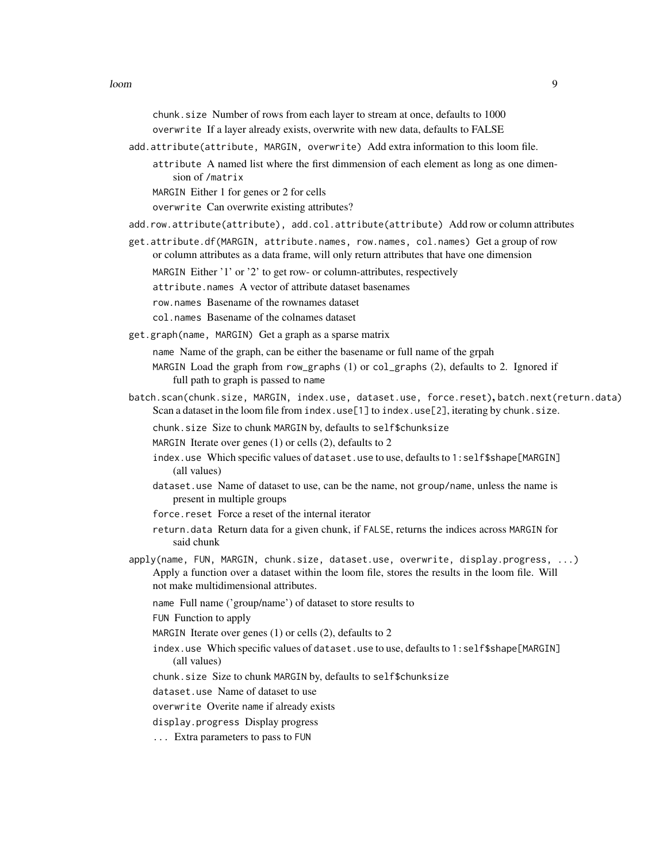chunk.size Number of rows from each layer to stream at once, defaults to 1000 overwrite If a layer already exists, overwrite with new data, defaults to FALSE

- add.attribute(attribute, MARGIN, overwrite) Add extra information to this loom file.
	- attribute A named list where the first dimmension of each element as long as one dimension of /matrix

MARGIN Either 1 for genes or 2 for cells

overwrite Can overwrite existing attributes?

- add.row.attribute(attribute), add.col.attribute(attribute) Add row or column attributes
- get.attribute.df(MARGIN, attribute.names, row.names, col.names) Get a group of row or column attributes as a data frame, will only return attributes that have one dimension
	- MARGIN Either '1' or '2' to get row- or column-attributes, respectively
	- attribute.names A vector of attribute dataset basenames
	- row.names Basename of the rownames dataset
	- col.names Basename of the colnames dataset
- get.graph(name, MARGIN) Get a graph as a sparse matrix

name Name of the graph, can be either the basename or full name of the grpah

- MARGIN Load the graph from row\_graphs (1) or col\_graphs (2), defaults to 2. Ignored if full path to graph is passed to name
- batch.scan(chunk.size, MARGIN, index.use, dataset.use, force.reset), batch.next(return.data) Scan a dataset in the loom file from index.use[1] to index.use[2], iterating by chunk.size.
	- chunk.size Size to chunk MARGIN by, defaults to self\$chunksize
	- MARGIN Iterate over genes (1) or cells (2), defaults to 2
	- index.use Which specific values of dataset.use to use, defaults to 1:self\$shape[MARGIN] (all values)
	- dataset.use Name of dataset to use, can be the name, not group/name, unless the name is present in multiple groups
	- force.reset Force a reset of the internal iterator
	- return.data Return data for a given chunk, if FALSE, returns the indices across MARGIN for said chunk
- apply(name, FUN, MARGIN, chunk.size, dataset.use, overwrite, display.progress, ...) Apply a function over a dataset within the loom file, stores the results in the loom file. Will not make multidimensional attributes.
	- name Full name ('group/name') of dataset to store results to

FUN Function to apply

- MARGIN Iterate over genes (1) or cells (2), defaults to 2
- index.use Which specific values of dataset.use to use, defaults to 1:self\$shape[MARGIN] (all values)
- chunk.size Size to chunk MARGIN by, defaults to self\$chunksize
- dataset.use Name of dataset to use
- overwrite Overite name if already exists
- display.progress Display progress
- ... Extra parameters to pass to FUN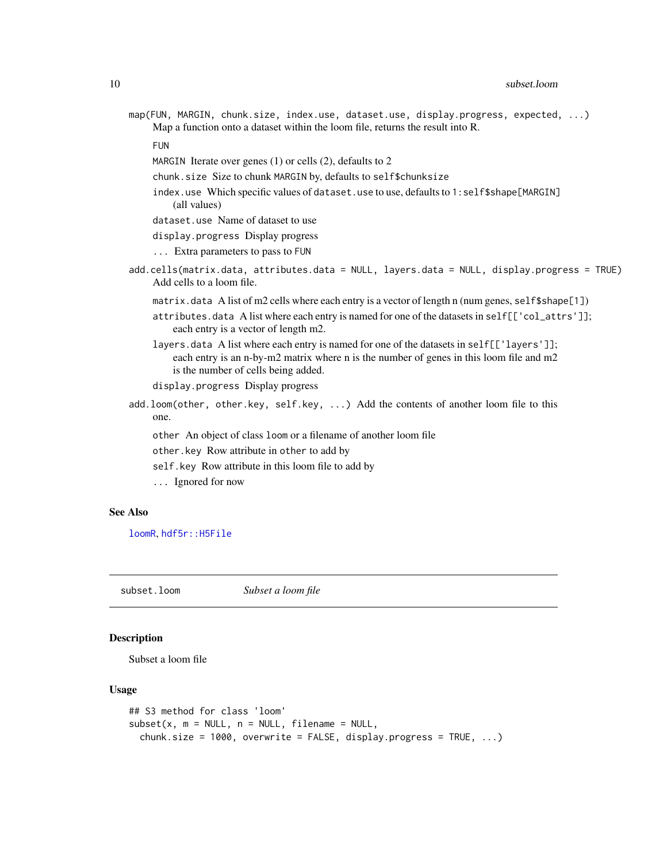- <span id="page-9-0"></span>map(FUN, MARGIN, chunk.size, index.use, dataset.use, display.progress, expected, ...) Map a function onto a dataset within the loom file, returns the result into R.
	- FUN
	- MARGIN Iterate over genes (1) or cells (2), defaults to 2
	- chunk.size Size to chunk MARGIN by, defaults to self\$chunksize
	- index.use Which specific values of dataset.use to use, defaults to 1:self\$shape[MARGIN] (all values)
	- dataset.use Name of dataset to use
	- display.progress Display progress
	- ... Extra parameters to pass to FUN
- add.cells(matrix.data, attributes.data = NULL, layers.data = NULL, display.progress = TRUE) Add cells to a loom file.
	- matrix.data A list of m2 cells where each entry is a vector of length n (num genes, self\$shape[1])
	- attributes.data A list where each entry is named for one of the datasets in self[['col\_attrs']]; each entry is a vector of length m2.
	- layers.data A list where each entry is named for one of the datasets in self[['layers']]; each entry is an n-by-m2 matrix where n is the number of genes in this loom file and m2 is the number of cells being added.
	- display.progress Display progress
- add.loom(other, other.key, self.key, ...) Add the contents of another loom file to this one.
	- other An object of class loom or a filename of another loom file
	- other.key Row attribute in other to add by
	- self.key Row attribute in this loom file to add by
	- ... Ignored for now

# See Also

[loomR](#page-0-0), [hdf5r::H5File](#page-0-0)

subset.loom *Subset a loom file*

# **Description**

Subset a loom file

#### Usage

```
## S3 method for class 'loom'
subset(x, m = NULL, n = NULL, filename = NULL,chunk.size = 1000, overwrite = FALSE, display.progress = TRUE, ...)
```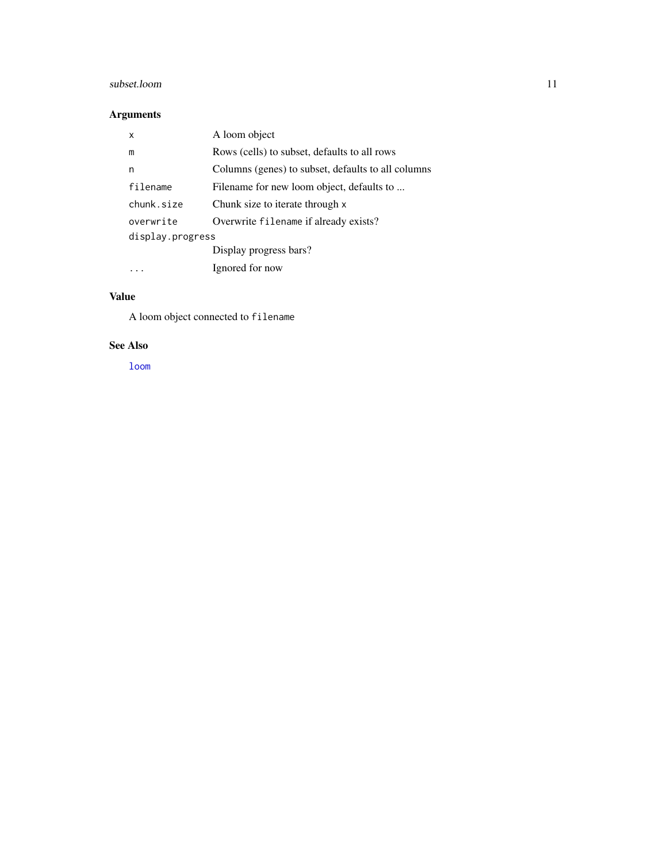# <span id="page-10-0"></span>subset.loom 11

# Arguments

| x                | A loom object                                      |  |  |  |
|------------------|----------------------------------------------------|--|--|--|
| m                | Rows (cells) to subset, defaults to all rows       |  |  |  |
| n                | Columns (genes) to subset, defaults to all columns |  |  |  |
| filename         | Filename for new loom object, defaults to          |  |  |  |
| chunk.size       | Chunk size to iterate through x                    |  |  |  |
| overwrite        | Overwrite filename if already exists?              |  |  |  |
| display.progress |                                                    |  |  |  |
|                  | Display progress bars?                             |  |  |  |
|                  | Ignored for now                                    |  |  |  |

# Value

A loom object connected to filename

# See Also

[loom](#page-7-1)